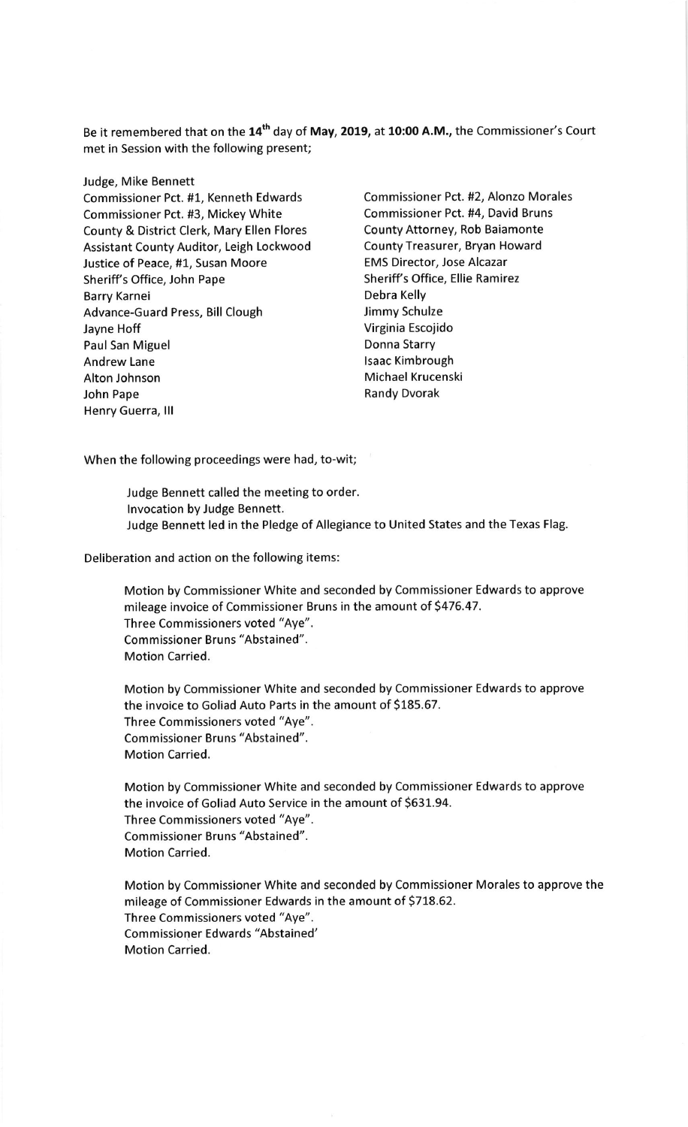Be it remembered that on the 14<sup>th</sup> day of May, 2019, at 10:00 A.M., the Commissioner's Court met in Session with the following present;

Judge, Mike Bennett Commissioner Pct. #1, Kenneth Edwards Commissioner Pct. #2, Alonzo Morales Commissioner Pct. #3, Mickey White Commissioner Pct. #4, David Bruns County & District Clerk, Mary Ellen Flores County Attorney, Rob Baiamonte Assistant County Auditor, Leigh Lockwood County Treasurer, Bryan Howard Justice of Peace, #1, Susan Moore EMS Director, Jose Alcazar Sheriff's Office, John Pape Sheriff's Office, Ellie Ramirez Barry Karnei **Debra Kelly** Advance-Guard Press, Bill Clough Jimmy Schulze Jayne Hoff **Virginia Escojido** Paul San Miguel **Donna Starry** Andrew Lane land and the land of the land state of land and land state and land state and land state and land Alton Johnson Michael Krucenski John Pape **Randy Disk Randy Disk Randy Disk Randy Disk Randy Disk Randy Disk Randy Disk Randy Disk Randy Provide** Henry Guerra, lll

When the following proceedings were had, to-wit;

Judge Bennett called the meeting to order. lnvocation by Judge Bennett. Judge Bennett led in the Pledge of Allegiance to United States and the Texas Flag.

Deliberation and action on the following items:

Motion by Commissioner White and seconded by Commissioner Edwards to approve mileage invoice of Commissioner Bruns in the amount of 5476.47. Three Commissioners voted "Aye". Commissioner Bruns "Abstained". Motion Carried.

Motion by Commissioner White and seconded by Commissioner Edwards to approve the invoice to Goliad Auto Parts in the amount of \$185.67. Three Commissioners voted "Aye". Commissioner Bruns "Abstained". Motion Carried.

Motion by Commissioner White and seconded by Commissioner Edwards to approve the invoice of Goliad Auto Service in the amount of 5631.94. Three Commissioners voted "Aye". Commissioner Bruns "Abstained". Motion Carried.

Motion by Commissioner White and seconded by Commissioner Morales to approve the mileage of Commissioner Edwards in the amount of 5718.62. Three Commissioners voted "Aye". Commissioner Edwards "Abstained' Motion Carried.